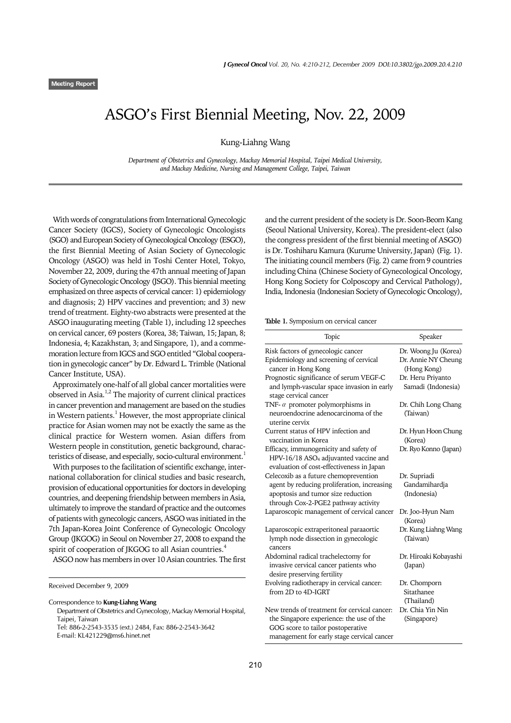## ASGO's First Biennial Meeting, Nov. 22, 2009

Kung-Liahng Wang

*Department of Obstetrics and Gynecology, Mackay Memorial Hospital, Taipei Medical University, and Mackay Medicine, Nursing and Management College, Taipei, Taiwan*

With words of congratulations from International Gynecologic Cancer Society (IGCS), Society of Gynecologic Oncologists (SGO) and European Society of Gynecological Oncology (ESGO), the first Biennial Meeting of Asian Society of Gynecologic Oncology (ASGO) was held in Toshi Center Hotel, Tokyo, November 22, 2009, during the 47th annual meeting of Japan Society of Gynecologic Oncology (JSGO). This biennial meeting emphasized on three aspects of cervical cancer: 1) epidemiology and diagnosis; 2) HPV vaccines and prevention; and 3) new trend of treatment. Eighty-two abstracts were presented at the ASGO inaugurating meeting (Table 1), including 12 speeches on cervical cancer, 69 posters (Korea, 38; Taiwan, 15; Japan, 8; Indonesia, 4; Kazakhstan, 3; and Singapore, 1), and a commemoration lecture from IGCS and SGO entitled "Global cooperation in gynecologic cancer" by Dr. Edward L. Trimble (National Cancer Institute, USA).

Approximately one-half of all global cancer mortalities were observed in Asia.1,2 The majority of current clinical practices in cancer prevention and management are based on the studies in Western patients. $^{\rm l}$  However, the most appropriate clinical practice for Asian women may not be exactly the same as the clinical practice for Western women. Asian differs from Western people in constitution, genetic background, characteristics of disease, and especially, socio-cultural environment.<sup>1</sup>

With purposes to the facilitation of scientific exchange, international collaboration for clinical studies and basic research, provision of educational opportunities for doctors in developing countries, and deepening friendship between members in Asia, ultimately to improve the standard of practice and the outcomes of patients with gynecologic cancers, ASGO was initiated in the 7th Japan-Korea Joint Conference of Gynecologic Oncology Group (JKGOG) in Seoul on November 27, 2008 to expand the spirit of cooperation of JKGOG to all Asian countries.<sup>4</sup>

ASGO now has members in over 10 Asian countries. The first

Received December 9, 2009

Correspondence to **Kung-Liahng Wang**

Department of Obstetrics and Gynecology, Mackay Memorial Hospital, Taipei, Taiwan Tel: 886-2-2543-3535 (ext.) 2484, Fax: 886-2-2543-3642

E-mail: KL421229@ms6.hinet.net

and the current president of the society is Dr. Soon-Beom Kang (Seoul National University, Korea). The president-elect (also the congress president of the first biennial meeting of ASGO) is Dr. Toshiharu Kamura (Kurume University, Japan) (Fig. 1). The initiating council members (Fig. 2) came from 9 countries including China (Chinese Society of Gynecological Oncology, Hong Kong Society for Colposcopy and Cervical Pathology), India, Indonesia (Indonesian Society of Gynecologic Oncology),

**Table 1.** Symposium on cervical cancer

| Topic                                                                                                                                                                       | Speaker                                                    |
|-----------------------------------------------------------------------------------------------------------------------------------------------------------------------------|------------------------------------------------------------|
| Risk factors of gynecologic cancer<br>Epidemiology and screening of cervical<br>cancer in Hong Kong                                                                         | Dr. Woong Ju (Korea)<br>Dr. Annie NY Cheung<br>(Hong Kong) |
| Prognostic significance of serum VEGF-C<br>and lymph-vascular space invasion in early<br>stage cervical cancer                                                              | Dr. Heru Priyanto<br>Samadi (Indonesia)                    |
| TNF- $\alpha$ promoter polymorphisms in<br>neuroendocrine adenocarcinoma of the<br>uterine cervix                                                                           | Dr. Chih Long Chang<br>(Taiwan)                            |
| Current status of HPV infection and<br>vaccination in Korea                                                                                                                 | Dr. Hyun Hoon Chung<br>(Korea)                             |
| Efficacy, immunogenicity and safety of<br>HPV-16/18 ASO <sub>4</sub> adjuvanted vaccine and<br>evaluation of cost-effectiveness in Japan                                    | Dr. Ryo Konno (Japan)                                      |
| Celecoxib as a future chemoprevention<br>agent by reducing proliferation, increasing<br>apoptosis and tumor size reduction<br>through Cox-2-PGE2 pathway activity           | Dr. Supriadi<br>Gandamihardja<br>(Indonesia)               |
| Laparoscopic management of cervical cancer                                                                                                                                  | Dr. Joo-Hyun Nam<br>(Korea)                                |
| Laparoscopic extraperitoneal paraaortic<br>lymph node dissection in gynecologic<br>cancers                                                                                  | Dr. Kung Liahng Wang<br>(Taiwan)                           |
| Abdominal radical trachelectomy for<br>invasive cervical cancer patients who<br>desire preserving fertility                                                                 | Dr. Hiroaki Kobayashi<br>(Japan)                           |
| Evolving radiotherapy in cervical cancer:<br>from 2D to 4D-IGRT                                                                                                             | Dr. Chomporn<br>Sitathanee<br>(Thailand)                   |
| New trends of treatment for cervical cancer:<br>the Singapore experience: the use of the<br>GOG score to tailor postoperative<br>management for early stage cervical cancer | Dr. Chia Yin Nin<br>(Singapore)                            |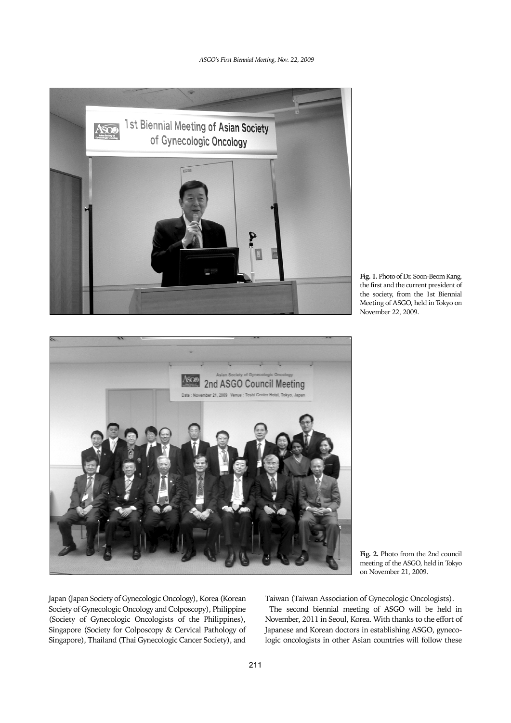## *ASGO's First Biennial Meeting, Nov. 22, 2009*



**Fig. 1.** Photo of Dr. Soon-Beom Kang, the first and the current president of the society, from the 1st Biennial Meeting of ASGO, held in Tokyo on November 22, 2009.



**Fig. 2.** Photo from the 2nd council meeting of the ASGO, held in Tokyo on November 21, 2009.

Japan (Japan Society of Gynecologic Oncology), Korea (Korean Society of Gynecologic Oncology and Colposcopy), Philippine (Society of Gynecologic Oncologists of the Philippines), Singapore (Society for Colposcopy & Cervical Pathology of Singapore), Thailand (Thai Gynecologic Cancer Society), and Taiwan (Taiwan Association of Gynecologic Oncologists).

The second biennial meeting of ASGO will be held in November, 2011 in Seoul, Korea. With thanks to the effort of Japanese and Korean doctors in establishing ASGO, gynecologic oncologists in other Asian countries will follow these